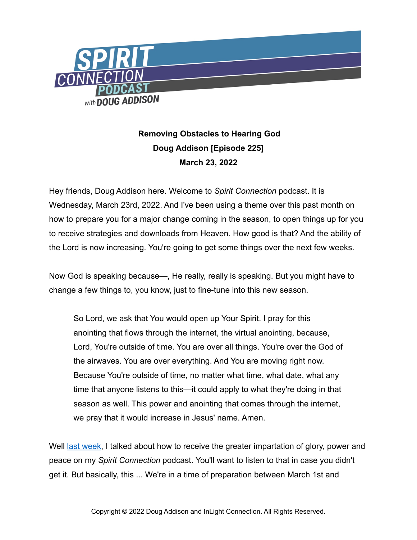

## **Removing Obstacles to Hearing God Doug Addison [Episode 225] March 23, 2022**

Hey friends, Doug Addison here. Welcome to *Spirit Connection* podcast. It is Wednesday, March 23rd, 2022. And I've been using a theme over this past month on how to prepare you for a major change coming in the season, to open things up for you to receive strategies and downloads from Heaven. How good is that? And the ability of the Lord is now increasing. You're going to get some things over the next few weeks.

Now God is speaking because—, He really, really is speaking. But you might have to change a few things to, you know, just to fine-tune into this new season.

So Lord, we ask that You would open up Your Spirit. I pray for this anointing that flows through the internet, the virtual anointing, because, Lord, You're outside of time. You are over all things. You're over the God of the airwaves. You are over everything. And You are moving right now. Because You're outside of time, no matter what time, what date, what any time that anyone listens to this—it could apply to what they're doing in that season as well. This power and anointing that comes through the internet, we pray that it would increase in Jesus' name. Amen.

Well **last week**, I talked about how to receive the greater impartation of glory, power and peace on my *Spirit Connection* podcast. You'll want to listen to that in case you didn't get it. But basically, this ... We're in a time of preparation between March 1st and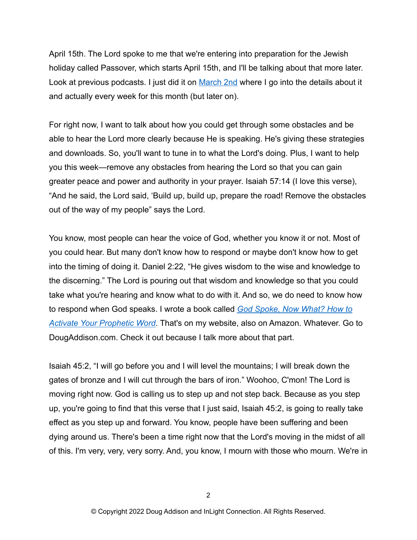April 15th. The Lord spoke to me that we're entering into preparation for the Jewish holiday called Passover, which starts April 15th, and I'll be talking about that more later. Look at previous podcasts. I just did it on [March 2nd](https://dougaddison.com/2022/03/get-ready-for-strategies-from-heaven-episode-222/) where I go into the details about it and actually every week for this month (but later on).

For right now, I want to talk about how you could get through some obstacles and be able to hear the Lord more clearly because He is speaking. He's giving these strategies and downloads. So, you'll want to tune in to what the Lord's doing. Plus, I want to help you this week—remove any obstacles from hearing the Lord so that you can gain greater peace and power and authority in your prayer. Isaiah 57:14 (I love this verse), "And he said, the Lord said, 'Build up, build up, prepare the road! Remove the obstacles out of the way of my people" says the Lord.

You know, most people can hear the voice of God, whether you know it or not. Most of you could hear. But many don't know how to respond or maybe don't know how to get into the timing of doing it. Daniel 2:22, "He gives wisdom to the wise and knowledge to the discerning." The Lord is pouring out that wisdom and knowledge so that you could take what you're hearing and know what to do with it. And so, we do need to know how to respond when God speaks. I wrote a book called *[God Spoke, Now What? How to](https://dougaddison.store/product/god-spoke-now-what/)  [Activate Your Prophetic Word](https://dougaddison.store/product/god-spoke-now-what/)*. That's on my website, also on Amazon. Whatever. Go to DougAddison.com. Check it out because I talk more about that part.

Isaiah 45:2, "I will go before you and I will level the mountains; I will break down the gates of bronze and I will cut through the bars of iron." Woohoo, C'mon! The Lord is moving right now. God is calling us to step up and not step back. Because as you step up, you're going to find that this verse that I just said, Isaiah 45:2, is going to really take effect as you step up and forward. You know, people have been suffering and been dying around us. There's been a time right now that the Lord's moving in the midst of all of this. I'm very, very, very sorry. And, you know, I mourn with those who mourn. We're in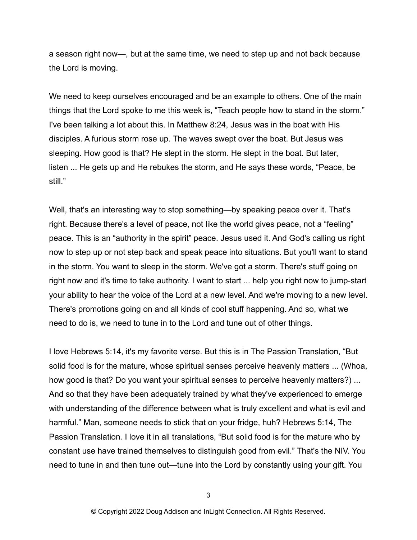a season right now—, but at the same time, we need to step up and not back because the Lord is moving.

We need to keep ourselves encouraged and be an example to others. One of the main things that the Lord spoke to me this week is, "Teach people how to stand in the storm." I've been talking a lot about this. In Matthew 8:24, Jesus was in the boat with His disciples. A furious storm rose up. The waves swept over the boat. But Jesus was sleeping. How good is that? He slept in the storm. He slept in the boat. But later, listen ... He gets up and He rebukes the storm, and He says these words, "Peace, be still."

Well, that's an interesting way to stop something—by speaking peace over it. That's right. Because there's a level of peace, not like the world gives peace, not a "feeling" peace. This is an "authority in the spirit" peace. Jesus used it. And God's calling us right now to step up or not step back and speak peace into situations. But you'll want to stand in the storm. You want to sleep in the storm. We've got a storm. There's stuff going on right now and it's time to take authority. I want to start ... help you right now to jump-start your ability to hear the voice of the Lord at a new level. And we're moving to a new level. There's promotions going on and all kinds of cool stuff happening. And so, what we need to do is, we need to tune in to the Lord and tune out of other things.

I love Hebrews 5:14, it's my favorite verse. But this is in The Passion Translation, "But solid food is for the mature, whose spiritual senses perceive heavenly matters ... (Whoa, how good is that? Do you want your spiritual senses to perceive heavenly matters?) ... And so that they have been adequately trained by what they've experienced to emerge with understanding of the difference between what is truly excellent and what is evil and harmful." Man, someone needs to stick that on your fridge, huh? Hebrews 5:14, The Passion Translation*.* I love it in all translations, "But solid food is for the mature who by constant use have trained themselves to distinguish good from evil." That's the NIV. You need to tune in and then tune out—tune into the Lord by constantly using your gift. You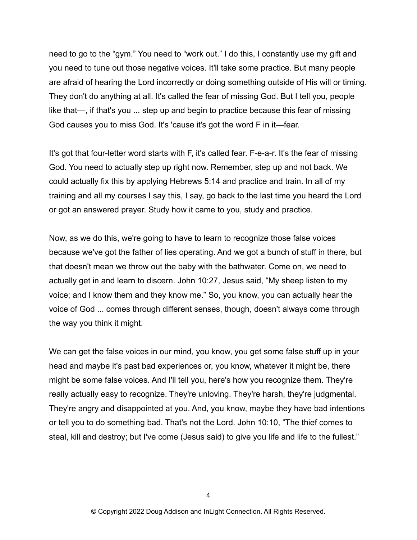need to go to the "gym." You need to "work out." I do this, I constantly use my gift and you need to tune out those negative voices. It'll take some practice. But many people are afraid of hearing the Lord incorrectly or doing something outside of His will or timing. They don't do anything at all. It's called the fear of missing God. But I tell you, people like that—, if that's you ... step up and begin to practice because this fear of missing God causes you to miss God. It's 'cause it's got the word F in it—fear.

It's got that four-letter word starts with F, it's called fear. F-e-a-r. It's the fear of missing God. You need to actually step up right now. Remember, step up and not back. We could actually fix this by applying Hebrews 5:14 and practice and train. In all of my training and all my courses I say this, I say, go back to the last time you heard the Lord or got an answered prayer. Study how it came to you, study and practice.

Now, as we do this, we're going to have to learn to recognize those false voices because we've got the father of lies operating. And we got a bunch of stuff in there, but that doesn't mean we throw out the baby with the bathwater. Come on, we need to actually get in and learn to discern. John 10:27, Jesus said, "My sheep listen to my voice; and I know them and they know me." So, you know, you can actually hear the voice of God ... comes through different senses, though, doesn't always come through the way you think it might.

We can get the false voices in our mind, you know, you get some false stuff up in your head and maybe it's past bad experiences or, you know, whatever it might be, there might be some false voices. And I'll tell you, here's how you recognize them. They're really actually easy to recognize. They're unloving. They're harsh, they're judgmental. They're angry and disappointed at you. And, you know, maybe they have bad intentions or tell you to do something bad. That's not the Lord. John 10:10, "The thief comes to steal, kill and destroy; but I've come (Jesus said) to give you life and life to the fullest."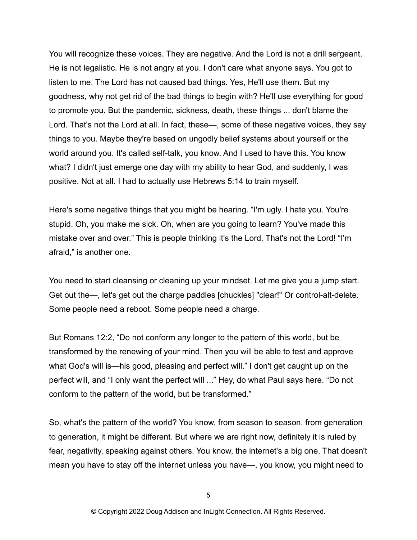You will recognize these voices. They are negative. And the Lord is not a drill sergeant. He is not legalistic. He is not angry at you. I don't care what anyone says. You got to listen to me. The Lord has not caused bad things. Yes, He'll use them. But my goodness, why not get rid of the bad things to begin with? He'll use everything for good to promote you. But the pandemic, sickness, death, these things ... don't blame the Lord. That's not the Lord at all. In fact, these—, some of these negative voices, they say things to you. Maybe they're based on ungodly belief systems about yourself or the world around you. It's called self-talk, you know. And I used to have this. You know what? I didn't just emerge one day with my ability to hear God, and suddenly, I was positive. Not at all. I had to actually use Hebrews 5:14 to train myself.

Here's some negative things that you might be hearing. "I'm ugly. I hate you. You're stupid. Oh, you make me sick. Oh, when are you going to learn? You've made this mistake over and over." This is people thinking it's the Lord. That's not the Lord! "I'm afraid," is another one.

You need to start cleansing or cleaning up your mindset. Let me give you a jump start. Get out the—, let's get out the charge paddles [chuckles] "clear!" Or control-alt-delete. Some people need a reboot. Some people need a charge.

But Romans 12:2, "Do not conform any longer to the pattern of this world, but be transformed by the renewing of your mind. Then you will be able to test and approve what God's will is—his good, pleasing and perfect will." I don't get caught up on the perfect will, and "I only want the perfect will ..." Hey, do what Paul says here. "Do not conform to the pattern of the world, but be transformed."

So, what's the pattern of the world? You know, from season to season, from generation to generation, it might be different. But where we are right now, definitely it is ruled by fear, negativity, speaking against others. You know, the internet's a big one. That doesn't mean you have to stay off the internet unless you have—, you know, you might need to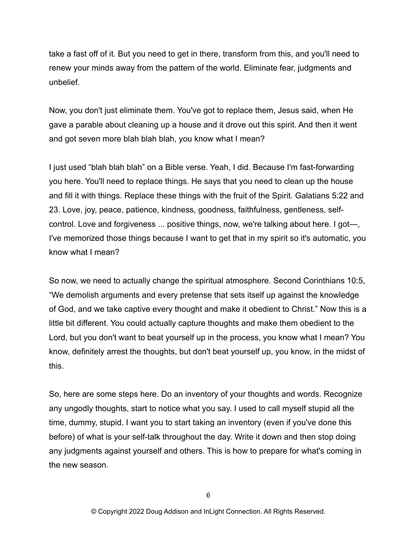take a fast off of it. But you need to get in there, transform from this, and you'll need to renew your minds away from the pattern of the world. Eliminate fear, judgments and unbelief.

Now, you don't just eliminate them. You've got to replace them, Jesus said, when He gave a parable about cleaning up a house and it drove out this spirit. And then it went and got seven more blah blah blah, you know what I mean?

I just used "blah blah blah" on a Bible verse. Yeah, I did. Because I'm fast-forwarding you here. You'll need to replace things. He says that you need to clean up the house and fill it with things. Replace these things with the fruit of the Spirit. Galatians 5:22 and 23. Love, joy, peace, patience, kindness, goodness, faithfulness, gentleness, selfcontrol. Love and forgiveness ... positive things, now, we're talking about here. I got—, I've memorized those things because I want to get that in my spirit so it's automatic, you know what I mean?

So now, we need to actually change the spiritual atmosphere. Second Corinthians 10:5, "We demolish arguments and every pretense that sets itself up against the knowledge of God, and we take captive every thought and make it obedient to Christ." Now this is a little bit different. You could actually capture thoughts and make them obedient to the Lord, but you don't want to beat yourself up in the process, you know what I mean? You know, definitely arrest the thoughts, but don't beat yourself up, you know, in the midst of this.

So, here are some steps here. Do an inventory of your thoughts and words. Recognize any ungodly thoughts, start to notice what you say. I used to call myself stupid all the time, dummy, stupid. I want you to start taking an inventory (even if you've done this before) of what is your self-talk throughout the day. Write it down and then stop doing any judgments against yourself and others. This is how to prepare for what's coming in the new season.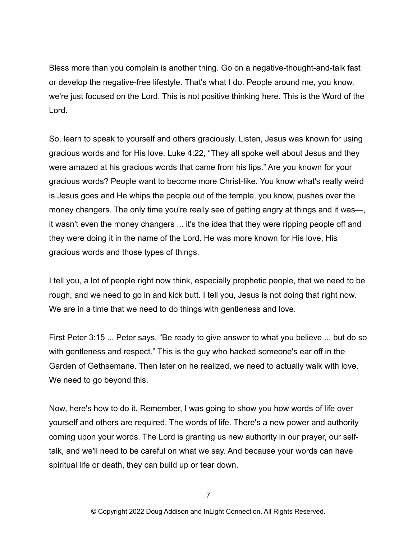Bless more than you complain is another thing. Go on a negative-thought-and-talk fast or develop the negative-free lifestyle. That's what I do. People around me, you know, we're just focused on the Lord. This is not positive thinking here. This is the Word of the Lord.

So, learn to speak to yourself and others graciously. Listen, Jesus was known for using gracious words and for His love. Luke 4:22, "They all spoke well about Jesus and they were amazed at his gracious words that came from his lips." Are you known for your gracious words? People want to become more Christ-like. You know what's really weird is Jesus goes and He whips the people out of the temple, you know, pushes over the money changers. The only time you're really see of getting angry at things and it was—, it wasn't even the money changers ... it's the idea that they were ripping people off and they were doing it in the name of the Lord. He was more known for His love, His gracious words and those types of things.

I tell you, a lot of people right now think, especially prophetic people, that we need to be rough, and we need to go in and kick butt. I tell you, Jesus is not doing that right now. We are in a time that we need to do things with gentleness and love.

First Peter 3:15 ... Peter says, "Be ready to give answer to what you believe ... but do so with gentleness and respect." This is the guy who hacked someone's ear off in the Garden of Gethsemane. Then later on he realized, we need to actually walk with love. We need to go beyond this.

Now, here's how to do it. Remember, I was going to show you how words of life over yourself and others are required. The words of life. There's a new power and authority coming upon your words. The Lord is granting us new authority in our prayer, our selftalk, and we'll need to be careful on what we say. And because your words can have spiritual life or death, they can build up or tear down.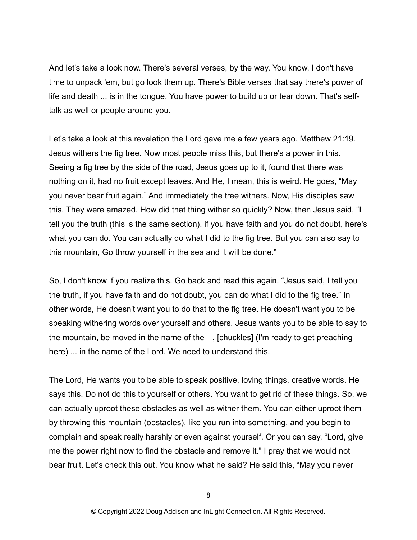And let's take a look now. There's several verses, by the way. You know, I don't have time to unpack 'em, but go look them up. There's Bible verses that say there's power of life and death ... is in the tongue. You have power to build up or tear down. That's selftalk as well or people around you.

Let's take a look at this revelation the Lord gave me a few years ago. Matthew 21:19. Jesus withers the fig tree. Now most people miss this, but there's a power in this. Seeing a fig tree by the side of the road, Jesus goes up to it, found that there was nothing on it, had no fruit except leaves. And He, I mean, this is weird. He goes, "May you never bear fruit again." And immediately the tree withers. Now, His disciples saw this. They were amazed. How did that thing wither so quickly? Now, then Jesus said, "I tell you the truth (this is the same section), if you have faith and you do not doubt, here's what you can do. You can actually do what I did to the fig tree. But you can also say to this mountain, Go throw yourself in the sea and it will be done."

So, I don't know if you realize this. Go back and read this again. "Jesus said, I tell you the truth, if you have faith and do not doubt, you can do what I did to the fig tree." In other words, He doesn't want you to do that to the fig tree. He doesn't want you to be speaking withering words over yourself and others. Jesus wants you to be able to say to the mountain, be moved in the name of the—, [chuckles] (I'm ready to get preaching here) ... in the name of the Lord. We need to understand this.

The Lord, He wants you to be able to speak positive, loving things, creative words. He says this. Do not do this to yourself or others. You want to get rid of these things. So, we can actually uproot these obstacles as well as wither them. You can either uproot them by throwing this mountain (obstacles), like you run into something, and you begin to complain and speak really harshly or even against yourself. Or you can say, "Lord, give me the power right now to find the obstacle and remove it." I pray that we would not bear fruit. Let's check this out. You know what he said? He said this, "May you never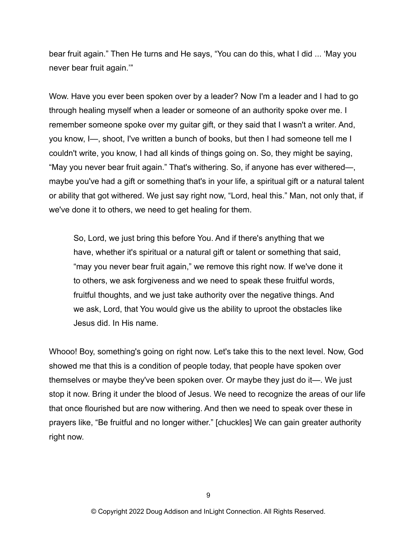bear fruit again." Then He turns and He says, "You can do this, what I did ... 'May you never bear fruit again.'"

Wow. Have you ever been spoken over by a leader? Now I'm a leader and I had to go through healing myself when a leader or someone of an authority spoke over me. I remember someone spoke over my guitar gift, or they said that I wasn't a writer. And, you know, I—, shoot, I've written a bunch of books, but then I had someone tell me I couldn't write, you know, I had all kinds of things going on. So, they might be saying, "May you never bear fruit again." That's withering. So, if anyone has ever withered—, maybe you've had a gift or something that's in your life, a spiritual gift or a natural talent or ability that got withered. We just say right now, "Lord, heal this." Man, not only that, if we've done it to others, we need to get healing for them.

So, Lord, we just bring this before You. And if there's anything that we have, whether it's spiritual or a natural gift or talent or something that said, "may you never bear fruit again," we remove this right now. If we've done it to others, we ask forgiveness and we need to speak these fruitful words, fruitful thoughts, and we just take authority over the negative things. And we ask, Lord, that You would give us the ability to uproot the obstacles like Jesus did. In His name.

Whooo! Boy, something's going on right now. Let's take this to the next level. Now, God showed me that this is a condition of people today, that people have spoken over themselves or maybe they've been spoken over. Or maybe they just do it—. We just stop it now. Bring it under the blood of Jesus. We need to recognize the areas of our life that once flourished but are now withering. And then we need to speak over these in prayers like, "Be fruitful and no longer wither." [chuckles] We can gain greater authority right now.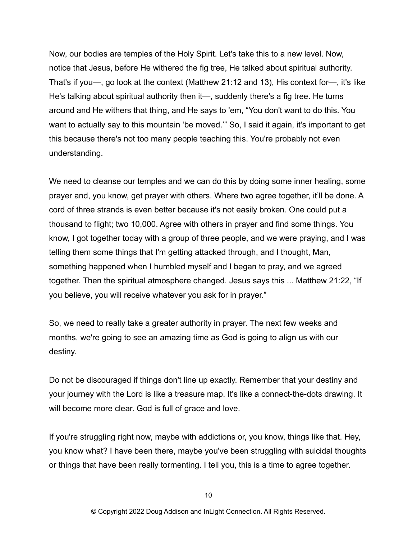Now, our bodies are temples of the Holy Spirit. Let's take this to a new level. Now, notice that Jesus, before He withered the fig tree, He talked about spiritual authority. That's if you—, go look at the context (Matthew 21:12 and 13), His context for—, it's like He's talking about spiritual authority then it—, suddenly there's a fig tree. He turns around and He withers that thing, and He says to 'em, "You don't want to do this. You want to actually say to this mountain 'be moved." So, I said it again, it's important to get this because there's not too many people teaching this. You're probably not even understanding.

We need to cleanse our temples and we can do this by doing some inner healing, some prayer and, you know, get prayer with others. Where two agree together, it'll be done. A cord of three strands is even better because it's not easily broken. One could put a thousand to flight; two 10,000. Agree with others in prayer and find some things. You know, I got together today with a group of three people, and we were praying, and I was telling them some things that I'm getting attacked through, and I thought, Man, something happened when I humbled myself and I began to pray, and we agreed together. Then the spiritual atmosphere changed. Jesus says this ... Matthew 21:22, "If you believe, you will receive whatever you ask for in prayer."

So, we need to really take a greater authority in prayer. The next few weeks and months, we're going to see an amazing time as God is going to align us with our destiny.

Do not be discouraged if things don't line up exactly. Remember that your destiny and your journey with the Lord is like a treasure map. It's like a connect-the-dots drawing. It will become more clear. God is full of grace and love.

If you're struggling right now, maybe with addictions or, you know, things like that. Hey, you know what? I have been there, maybe you've been struggling with suicidal thoughts or things that have been really tormenting. I tell you, this is a time to agree together.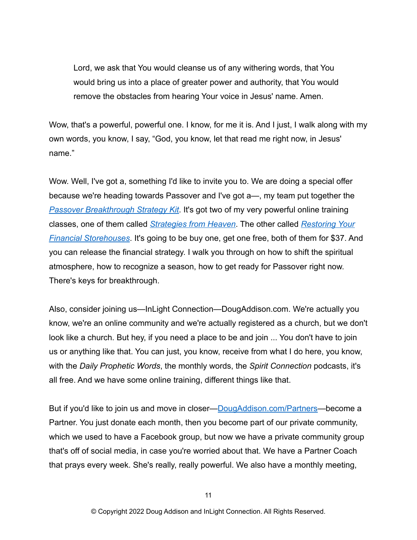Lord, we ask that You would cleanse us of any withering words, that You would bring us into a place of greater power and authority, that You would remove the obstacles from hearing Your voice in Jesus' name. Amen.

Wow, that's a powerful, powerful one. I know, for me it is. And I just, I walk along with my own words, you know, I say, "God, you know, let that read me right now, in Jesus' name."

Wow. Well, I've got a, something I'd like to invite you to. We are doing a special offer because we're heading towards Passover and I've got a—, my team put together the *[Passover Breakthrough Strategy Kit](https://dougaddison.store/product/passover-breakthrough-strategy-kit/)*. It's got two of my very powerful online training classes, one of them called *[Strategies from Heaven](https://dougaddison.store/prosper/)*. The other called *[Restoring Your](https://dougaddison.store/restoring-your-financial-storehouses/)  [Financial Storehouses](https://dougaddison.store/restoring-your-financial-storehouses/)*. It's going to be buy one, get one free, both of them for \$37. And you can release the financial strategy. I walk you through on how to shift the spiritual atmosphere, how to recognize a season, how to get ready for Passover right now. There's keys for breakthrough.

Also, consider joining us—InLight Connection—DougAddison.com. We're actually you know, we're an online community and we're actually registered as a church, but we don't look like a church. But hey, if you need a place to be and join ... You don't have to join us or anything like that. You can just, you know, receive from what I do here, you know, with the *Daily Prophetic Words*, the monthly words, the *Spirit Connection* podcasts, it's all free. And we have some online training, different things like that.

But if you'd like to join us and move in closer—[DougAddison.com/Partners](https://dougaddison.com/partner-with-inlight/)—become a Partner. You just donate each month, then you become part of our private community, which we used to have a Facebook group, but now we have a private community group that's off of social media, in case you're worried about that. We have a Partner Coach that prays every week. She's really, really powerful. We also have a monthly meeting,